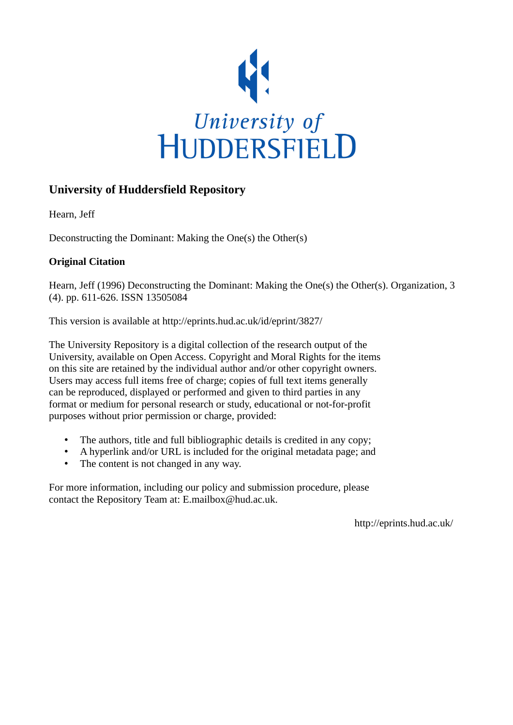

# **University of Huddersfield Repository**

Hearn, Jeff

Deconstructing the Dominant: Making the One(s) the Other(s)

# **Original Citation**

Hearn, Jeff (1996) Deconstructing the Dominant: Making the One(s) the Other(s). Organization, 3 (4). pp. 611-626. ISSN 13505084

This version is available at http://eprints.hud.ac.uk/id/eprint/3827/

The University Repository is a digital collection of the research output of the University, available on Open Access. Copyright and Moral Rights for the items on this site are retained by the individual author and/or other copyright owners. Users may access full items free of charge; copies of full text items generally can be reproduced, displayed or performed and given to third parties in any format or medium for personal research or study, educational or not-for-profit purposes without prior permission or charge, provided:

- The authors, title and full bibliographic details is credited in any copy;
- A hyperlink and/or URL is included for the original metadata page; and
- The content is not changed in any way.

For more information, including our policy and submission procedure, please contact the Repository Team at: E.mailbox@hud.ac.uk.

http://eprints.hud.ac.uk/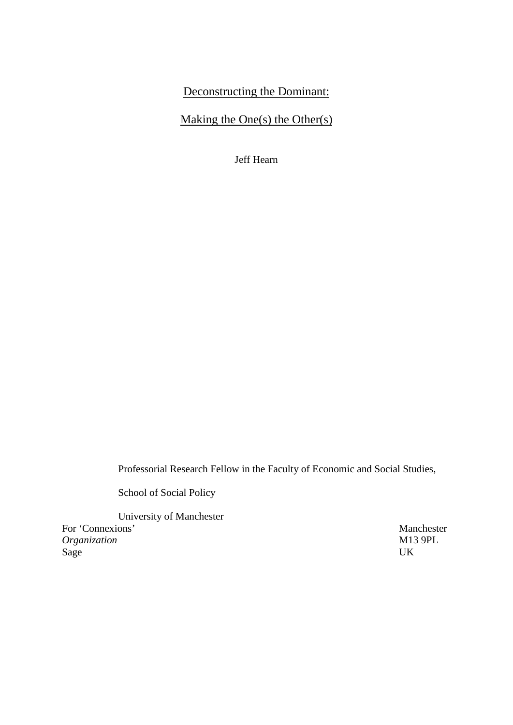# Deconstructing the Dominant:

# Making the One(s) the Other(s)

Jeff Hearn

Professorial Research Fellow in the Faculty of Economic and Social Studies,

School of Social Policy

University of Manchester For 'Connexions' Manchester *Organization* M13 9PL Sage UK Sage UK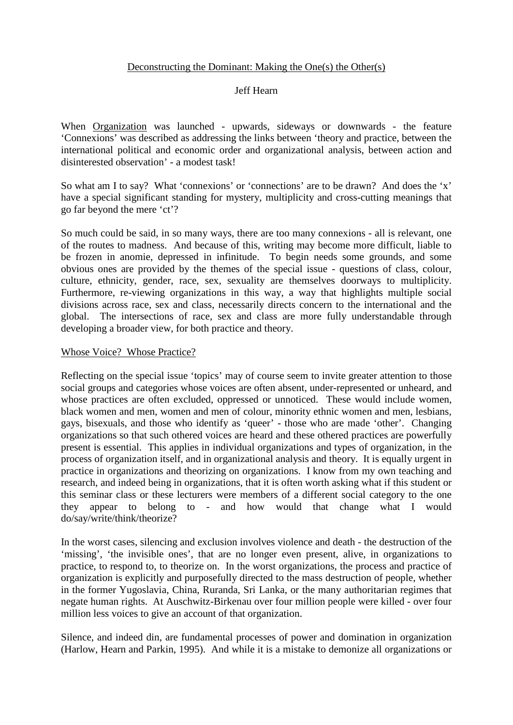## Deconstructing the Dominant: Making the One(s) the Other(s)

## Jeff Hearn

When Organization was launched - upwards, sideways or downwards - the feature 'Connexions' was described as addressing the links between 'theory and practice, between the international political and economic order and organizational analysis, between action and disinterested observation' - a modest task!

So what am I to say? What 'connexions' or 'connections' are to be drawn? And does the 'x' have a special significant standing for mystery, multiplicity and cross-cutting meanings that go far beyond the mere 'ct'?

So much could be said, in so many ways, there are too many connexions - all is relevant, one of the routes to madness. And because of this, writing may become more difficult, liable to be frozen in anomie, depressed in infinitude. To begin needs some grounds, and some obvious ones are provided by the themes of the special issue - questions of class, colour, culture, ethnicity, gender, race, sex, sexuality are themselves doorways to multiplicity. Furthermore, re-viewing organizations in this way, a way that highlights multiple social divisions across race, sex and class, necessarily directs concern to the international and the global. The intersections of race, sex and class are more fully understandable through developing a broader view, for both practice and theory.

#### Whose Voice? Whose Practice?

Reflecting on the special issue 'topics' may of course seem to invite greater attention to those social groups and categories whose voices are often absent, under-represented or unheard, and whose practices are often excluded, oppressed or unnoticed. These would include women, black women and men, women and men of colour, minority ethnic women and men, lesbians, gays, bisexuals, and those who identify as 'queer' - those who are made 'other'. Changing organizations so that such othered voices are heard and these othered practices are powerfully present is essential. This applies in individual organizations and types of organization, in the process of organization itself, and in organizational analysis and theory. It is equally urgent in practice in organizations and theorizing on organizations. I know from my own teaching and research, and indeed being in organizations, that it is often worth asking what if this student or this seminar class or these lecturers were members of a different social category to the one they appear to belong to - and how would that change what I would do/say/write/think/theorize?

In the worst cases, silencing and exclusion involves violence and death - the destruction of the 'missing', 'the invisible ones', that are no longer even present, alive, in organizations to practice, to respond to, to theorize on. In the worst organizations, the process and practice of organization is explicitly and purposefully directed to the mass destruction of people, whether in the former Yugoslavia, China, Ruranda, Sri Lanka, or the many authoritarian regimes that negate human rights. At Auschwitz-Birkenau over four million people were killed - over four million less voices to give an account of that organization.

Silence, and indeed din, are fundamental processes of power and domination in organization (Harlow, Hearn and Parkin, 1995). And while it is a mistake to demonize all organizations or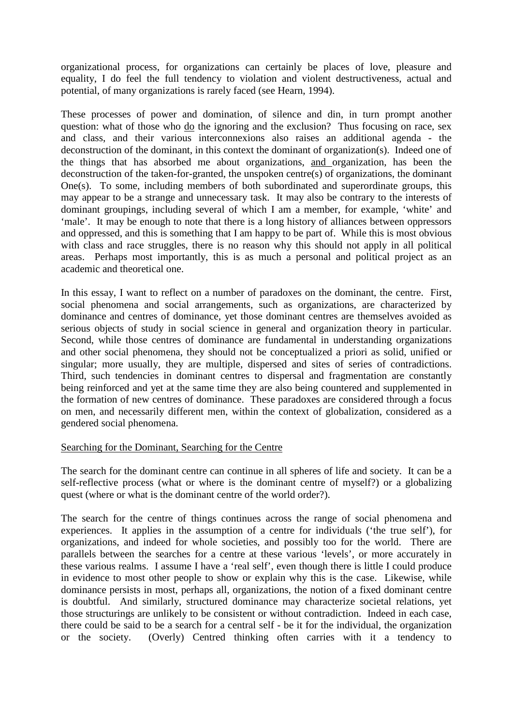organizational process, for organizations can certainly be places of love, pleasure and equality, I do feel the full tendency to violation and violent destructiveness, actual and potential, of many organizations is rarely faced (see Hearn, 1994).

These processes of power and domination, of silence and din, in turn prompt another question: what of those who do the ignoring and the exclusion? Thus focusing on race, sex and class, and their various interconnexions also raises an additional agenda - the deconstruction of the dominant, in this context the dominant of organization(s). Indeed one of the things that has absorbed me about organizations, and organization, has been the deconstruction of the taken-for-granted, the unspoken centre(s) of organizations, the dominant One(s). To some, including members of both subordinated and superordinate groups, this may appear to be a strange and unnecessary task. It may also be contrary to the interests of dominant groupings, including several of which I am a member, for example, 'white' and 'male'. It may be enough to note that there is a long history of alliances between oppressors and oppressed, and this is something that I am happy to be part of. While this is most obvious with class and race struggles, there is no reason why this should not apply in all political areas. Perhaps most importantly, this is as much a personal and political project as an academic and theoretical one.

In this essay, I want to reflect on a number of paradoxes on the dominant, the centre. First, social phenomena and social arrangements, such as organizations, are characterized by dominance and centres of dominance, yet those dominant centres are themselves avoided as serious objects of study in social science in general and organization theory in particular. Second, while those centres of dominance are fundamental in understanding organizations and other social phenomena, they should not be conceptualized a priori as solid, unified or singular; more usually, they are multiple, dispersed and sites of series of contradictions. Third, such tendencies in dominant centres to dispersal and fragmentation are constantly being reinforced and yet at the same time they are also being countered and supplemented in the formation of new centres of dominance. These paradoxes are considered through a focus on men, and necessarily different men, within the context of globalization, considered as a gendered social phenomena.

#### Searching for the Dominant, Searching for the Centre

The search for the dominant centre can continue in all spheres of life and society. It can be a self-reflective process (what or where is the dominant centre of myself?) or a globalizing quest (where or what is the dominant centre of the world order?).

The search for the centre of things continues across the range of social phenomena and experiences. It applies in the assumption of a centre for individuals ('the true self'), for organizations, and indeed for whole societies, and possibly too for the world. There are parallels between the searches for a centre at these various 'levels', or more accurately in these various realms. I assume I have a 'real self', even though there is little I could produce in evidence to most other people to show or explain why this is the case. Likewise, while dominance persists in most, perhaps all, organizations, the notion of a fixed dominant centre is doubtful. And similarly, structured dominance may characterize societal relations, yet those structurings are unlikely to be consistent or without contradiction. Indeed in each case, there could be said to be a search for a central self - be it for the individual, the organization or the society. (Overly) Centred thinking often carries with it a tendency to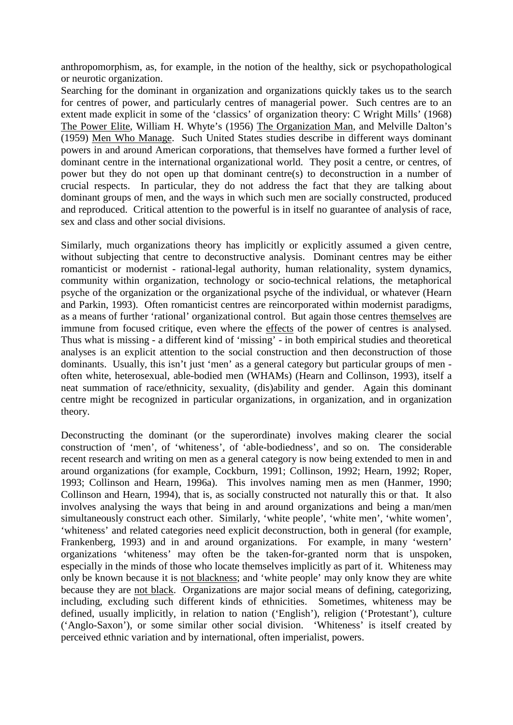anthropomorphism, as, for example, in the notion of the healthy, sick or psychopathological or neurotic organization.

Searching for the dominant in organization and organizations quickly takes us to the search for centres of power, and particularly centres of managerial power. Such centres are to an extent made explicit in some of the 'classics' of organization theory: C Wright Mills' (1968) The Power Elite, William H. Whyte's (1956) The Organization Man, and Melville Dalton's (1959) Men Who Manage. Such United States studies describe in different ways dominant powers in and around American corporations, that themselves have formed a further level of dominant centre in the international organizational world. They posit a centre, or centres, of power but they do not open up that dominant centre(s) to deconstruction in a number of crucial respects. In particular, they do not address the fact that they are talking about dominant groups of men, and the ways in which such men are socially constructed, produced and reproduced. Critical attention to the powerful is in itself no guarantee of analysis of race, sex and class and other social divisions.

Similarly, much organizations theory has implicitly or explicitly assumed a given centre, without subjecting that centre to deconstructive analysis. Dominant centres may be either romanticist or modernist - rational-legal authority, human relationality, system dynamics, community within organization, technology or socio-technical relations, the metaphorical psyche of the organization or the organizational psyche of the individual, or whatever (Hearn and Parkin, 1993). Often romanticist centres are reincorporated within modernist paradigms, as a means of further 'rational' organizational control. But again those centres themselves are immune from focused critique, even where the effects of the power of centres is analysed. Thus what is missing - a different kind of 'missing' - in both empirical studies and theoretical analyses is an explicit attention to the social construction and then deconstruction of those dominants. Usually, this isn't just 'men' as a general category but particular groups of men often white, heterosexual, able-bodied men (WHAMs) (Hearn and Collinson, 1993), itself a neat summation of race/ethnicity, sexuality, (dis)ability and gender. Again this dominant centre might be recognized in particular organizations, in organization, and in organization theory.

Deconstructing the dominant (or the superordinate) involves making clearer the social construction of 'men', of 'whiteness', of 'able-bodiedness', and so on. The considerable recent research and writing on men as a general category is now being extended to men in and around organizations (for example, Cockburn, 1991; Collinson, 1992; Hearn, 1992; Roper, 1993; Collinson and Hearn, 1996a). This involves naming men as men (Hanmer, 1990; Collinson and Hearn, 1994), that is, as socially constructed not naturally this or that. It also involves analysing the ways that being in and around organizations and being a man/men simultaneously construct each other. Similarly, 'white people', 'white men', 'white women', 'whiteness' and related categories need explicit deconstruction, both in general (for example, Frankenberg, 1993) and in and around organizations. For example, in many 'western' organizations 'whiteness' may often be the taken-for-granted norm that is unspoken, especially in the minds of those who locate themselves implicitly as part of it. Whiteness may only be known because it is not blackness; and 'white people' may only know they are white because they are not black. Organizations are major social means of defining, categorizing, including, excluding such different kinds of ethnicities. Sometimes, whiteness may be defined, usually implicitly, in relation to nation ('English'), religion ('Protestant'), culture ('Anglo-Saxon'), or some similar other social division. 'Whiteness' is itself created by perceived ethnic variation and by international, often imperialist, powers.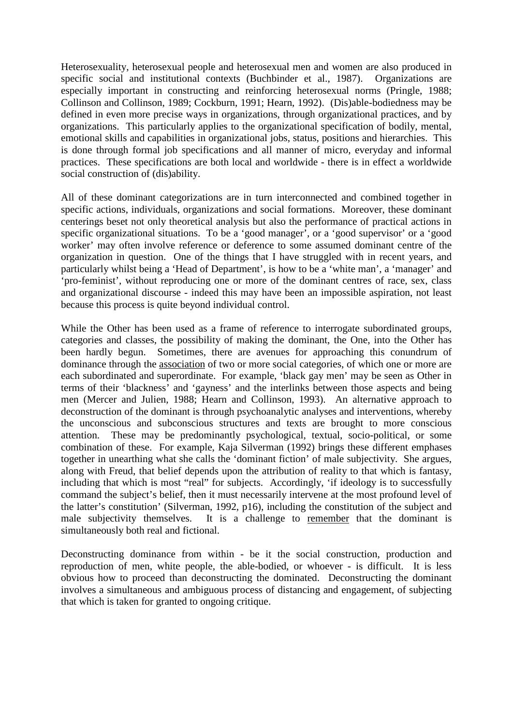Heterosexuality, heterosexual people and heterosexual men and women are also produced in specific social and institutional contexts (Buchbinder et al., 1987). Organizations are especially important in constructing and reinforcing heterosexual norms (Pringle, 1988; Collinson and Collinson, 1989; Cockburn, 1991; Hearn, 1992). (Dis)able-bodiedness may be defined in even more precise ways in organizations, through organizational practices, and by organizations. This particularly applies to the organizational specification of bodily, mental, emotional skills and capabilities in organizational jobs, status, positions and hierarchies. This is done through formal job specifications and all manner of micro, everyday and informal practices. These specifications are both local and worldwide - there is in effect a worldwide social construction of (dis)ability.

All of these dominant categorizations are in turn interconnected and combined together in specific actions, individuals, organizations and social formations. Moreover, these dominant centerings beset not only theoretical analysis but also the performance of practical actions in specific organizational situations. To be a 'good manager', or a 'good supervisor' or a 'good worker' may often involve reference or deference to some assumed dominant centre of the organization in question. One of the things that I have struggled with in recent years, and particularly whilst being a 'Head of Department', is how to be a 'white man', a 'manager' and 'pro-feminist', without reproducing one or more of the dominant centres of race, sex, class and organizational discourse - indeed this may have been an impossible aspiration, not least because this process is quite beyond individual control.

While the Other has been used as a frame of reference to interrogate subordinated groups, categories and classes, the possibility of making the dominant, the One, into the Other has been hardly begun. Sometimes, there are avenues for approaching this conundrum of dominance through the association of two or more social categories, of which one or more are each subordinated and superordinate. For example, 'black gay men' may be seen as Other in terms of their 'blackness' and 'gayness' and the interlinks between those aspects and being men (Mercer and Julien, 1988; Hearn and Collinson, 1993). An alternative approach to deconstruction of the dominant is through psychoanalytic analyses and interventions, whereby the unconscious and subconscious structures and texts are brought to more conscious attention. These may be predominantly psychological, textual, socio-political, or some combination of these. For example, Kaja Silverman (1992) brings these different emphases together in unearthing what she calls the 'dominant fiction' of male subjectivity. She argues, along with Freud, that belief depends upon the attribution of reality to that which is fantasy, including that which is most "real" for subjects. Accordingly, 'if ideology is to successfully command the subject's belief, then it must necessarily intervene at the most profound level of the latter's constitution' (Silverman, 1992, p16), including the constitution of the subject and male subjectivity themselves. It is a challenge to remember that the dominant is simultaneously both real and fictional.

Deconstructing dominance from within - be it the social construction, production and reproduction of men, white people, the able-bodied, or whoever - is difficult. It is less obvious how to proceed than deconstructing the dominated. Deconstructing the dominant involves a simultaneous and ambiguous process of distancing and engagement, of subjecting that which is taken for granted to ongoing critique.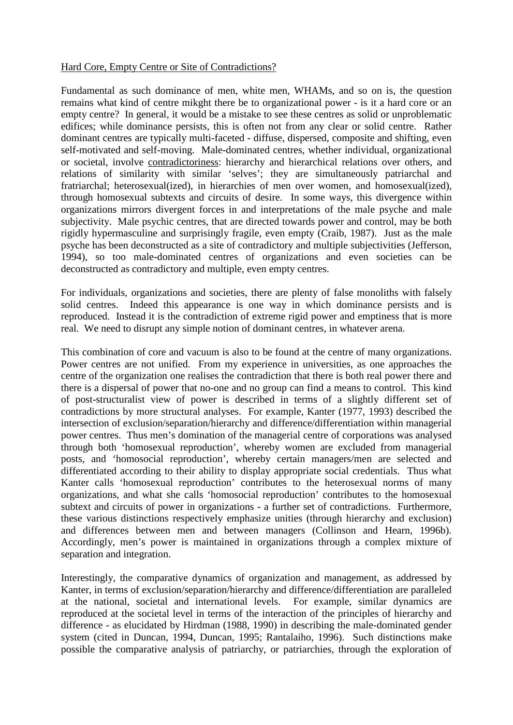## Hard Core, Empty Centre or Site of Contradictions?

Fundamental as such dominance of men, white men, WHAMs, and so on is, the question remains what kind of centre mikght there be to organizational power - is it a hard core or an empty centre? In general, it would be a mistake to see these centres as solid or unproblematic edifices; while dominance persists, this is often not from any clear or solid centre. Rather dominant centres are typically multi-faceted - diffuse, dispersed, composite and shifting, even self-motivated and self-moving. Male-dominated centres, whether individual, organizational or societal, involve contradictoriness: hierarchy and hierarchical relations over others, and relations of similarity with similar 'selves'; they are simultaneously patriarchal and fratriarchal; heterosexual(ized), in hierarchies of men over women, and homosexual(ized), through homosexual subtexts and circuits of desire. In some ways, this divergence within organizations mirrors divergent forces in and interpretations of the male psyche and male subjectivity. Male psychic centres, that are directed towards power and control, may be both rigidly hypermasculine and surprisingly fragile, even empty (Craib, 1987). Just as the male psyche has been deconstructed as a site of contradictory and multiple subjectivities (Jefferson, 1994), so too male-dominated centres of organizations and even societies can be deconstructed as contradictory and multiple, even empty centres.

For individuals, organizations and societies, there are plenty of false monoliths with falsely solid centres. Indeed this appearance is one way in which dominance persists and is reproduced. Instead it is the contradiction of extreme rigid power and emptiness that is more real. We need to disrupt any simple notion of dominant centres, in whatever arena.

This combination of core and vacuum is also to be found at the centre of many organizations. Power centres are not unified. From my experience in universities, as one approaches the centre of the organization one realises the contradiction that there is both real power there and there is a dispersal of power that no-one and no group can find a means to control. This kind of post-structuralist view of power is described in terms of a slightly different set of contradictions by more structural analyses. For example, Kanter (1977, 1993) described the intersection of exclusion/separation/hierarchy and difference/differentiation within managerial power centres. Thus men's domination of the managerial centre of corporations was analysed through both 'homosexual reproduction', whereby women are excluded from managerial posts, and 'homosocial reproduction', whereby certain managers/men are selected and differentiated according to their ability to display appropriate social credentials. Thus what Kanter calls 'homosexual reproduction' contributes to the heterosexual norms of many organizations, and what she calls 'homosocial reproduction' contributes to the homosexual subtext and circuits of power in organizations - a further set of contradictions. Furthermore, these various distinctions respectively emphasize unities (through hierarchy and exclusion) and differences between men and between managers (Collinson and Hearn, 1996b). Accordingly, men's power is maintained in organizations through a complex mixture of separation and integration.

Interestingly, the comparative dynamics of organization and management, as addressed by Kanter, in terms of exclusion/separation/hierarchy and difference/differentiation are paralleled at the national, societal and international levels. For example, similar dynamics are reproduced at the societal level in terms of the interaction of the principles of hierarchy and difference - as elucidated by Hirdman (1988, 1990) in describing the male-dominated gender system (cited in Duncan, 1994, Duncan, 1995; Rantalaiho, 1996). Such distinctions make possible the comparative analysis of patriarchy, or patriarchies, through the exploration of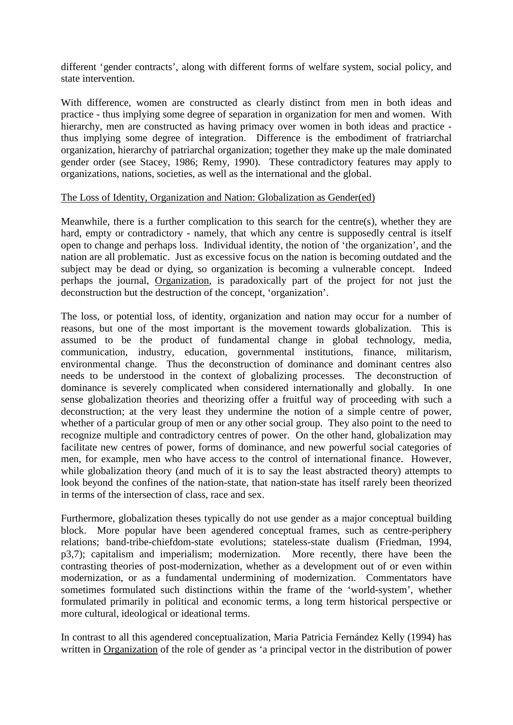different 'gender contracts', along with different forms of welfare system, social policy, and state intervention.

With difference, women are constructed as clearly distinct from men in both ideas and practice - thus implying some degree of separation in organization for men and women. With hierarchy, men are constructed as having primacy over women in both ideas and practice thus implying some degree of integration. Difference is the embodiment of fratriarchal organization, hierarchy of patriarchal organization; together they make up the male dominated gender order (see Stacey, 1986; Remy, 1990). These contradictory features may apply to organizations, nations, societies, as well as the international and the global.

## The Loss of Identity, Organization and Nation: Globalization as Gender(ed)

Meanwhile, there is a further complication to this search for the centre(s), whether they are hard, empty or contradictory - namely, that which any centre is supposedly central is itself open to change and perhaps loss. Individual identity, the notion of 'the organization', and the nation are all problematic. Just as excessive focus on the nation is becoming outdated and the subject may be dead or dying, so organization is becoming a vulnerable concept. Indeed perhaps the journal, Organization, is paradoxically part of the project for not just the deconstruction but the destruction of the concept, 'organization'.

The loss, or potential loss, of identity, organization and nation may occur for a number of reasons, but one of the most important is the movement towards globalization. This is assumed to be the product of fundamental change in global technology, media, communication, industry, education, governmental institutions, finance, militarism, environmental change. Thus the deconstruction of dominance and dominant centres also needs to be understood in the context of globalizing processes. The deconstruction of dominance is severely complicated when considered internationally and globally. In one sense globalization theories and theorizing offer a fruitful way of proceeding with such a deconstruction; at the very least they undermine the notion of a simple centre of power, whether of a particular group of men or any other social group. They also point to the need to recognize multiple and contradictory centres of power. On the other hand, globalization may facilitate new centres of power, forms of dominance, and new powerful social categories of men, for example, men who have access to the control of international finance. However, while globalization theory (and much of it is to say the least abstracted theory) attempts to look beyond the confines of the nation-state, that nation-state has itself rarely been theorized in terms of the intersection of class, race and sex.

Furthermore, globalization theses typically do not use gender as a major conceptual building block. More popular have been agendered conceptual frames, such as centre-periphery relations; band-tribe-chiefdom-state evolutions; stateless-state dualism (Friedman, 1994, p3,7); capitalism and imperialism; modernization. More recently, there have been the contrasting theories of post-modernization, whether as a development out of or even within modernization, or as a fundamental undermining of modernization. Commentators have sometimes formulated such distinctions within the frame of the 'world-system', whether formulated primarily in political and economic terms, a long term historical perspective or more cultural, ideological or ideational terms.

In contrast to all this agendered conceptualization, Maria Patricia Fernández Kelly (1994) has written in Organization of the role of gender as 'a principal vector in the distribution of power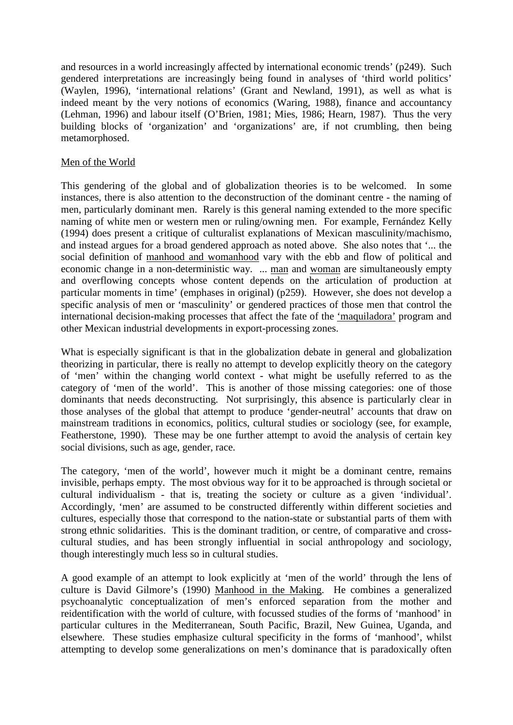and resources in a world increasingly affected by international economic trends' (p249). Such gendered interpretations are increasingly being found in analyses of 'third world politics' (Waylen, 1996), 'international relations' (Grant and Newland, 1991), as well as what is indeed meant by the very notions of economics (Waring, 1988), finance and accountancy (Lehman, 1996) and labour itself (O'Brien, 1981; Mies, 1986; Hearn, 1987). Thus the very building blocks of 'organization' and 'organizations' are, if not crumbling, then being metamorphosed.

### Men of the World

This gendering of the global and of globalization theories is to be welcomed. In some instances, there is also attention to the deconstruction of the dominant centre - the naming of men, particularly dominant men. Rarely is this general naming extended to the more specific naming of white men or western men or ruling/owning men. For example, Fernández Kelly (1994) does present a critique of culturalist explanations of Mexican masculinity/machismo, and instead argues for a broad gendered approach as noted above. She also notes that '... the social definition of manhood and womanhood vary with the ebb and flow of political and economic change in a non-deterministic way. ... man and woman are simultaneously empty and overflowing concepts whose content depends on the articulation of production at particular moments in time' (emphases in original) (p259). However, she does not develop a specific analysis of men or 'masculinity' or gendered practices of those men that control the international decision-making processes that affect the fate of the 'maquiladora' program and other Mexican industrial developments in export-processing zones.

What is especially significant is that in the globalization debate in general and globalization theorizing in particular, there is really no attempt to develop explicitly theory on the category of 'men' within the changing world context - what might be usefully referred to as the category of 'men of the world'. This is another of those missing categories: one of those dominants that needs deconstructing. Not surprisingly, this absence is particularly clear in those analyses of the global that attempt to produce 'gender-neutral' accounts that draw on mainstream traditions in economics, politics, cultural studies or sociology (see, for example, Featherstone, 1990). These may be one further attempt to avoid the analysis of certain key social divisions, such as age, gender, race.

The category, 'men of the world', however much it might be a dominant centre, remains invisible, perhaps empty. The most obvious way for it to be approached is through societal or cultural individualism - that is, treating the society or culture as a given 'individual'. Accordingly, 'men' are assumed to be constructed differently within different societies and cultures, especially those that correspond to the nation-state or substantial parts of them with strong ethnic solidarities. This is the dominant tradition, or centre, of comparative and crosscultural studies, and has been strongly influential in social anthropology and sociology, though interestingly much less so in cultural studies.

A good example of an attempt to look explicitly at 'men of the world' through the lens of culture is David Gilmore's (1990) Manhood in the Making. He combines a generalized psychoanalytic conceptualization of men's enforced separation from the mother and reidentification with the world of culture, with focussed studies of the forms of 'manhood' in particular cultures in the Mediterranean, South Pacific, Brazil, New Guinea, Uganda, and elsewhere. These studies emphasize cultural specificity in the forms of 'manhood', whilst attempting to develop some generalizations on men's dominance that is paradoxically often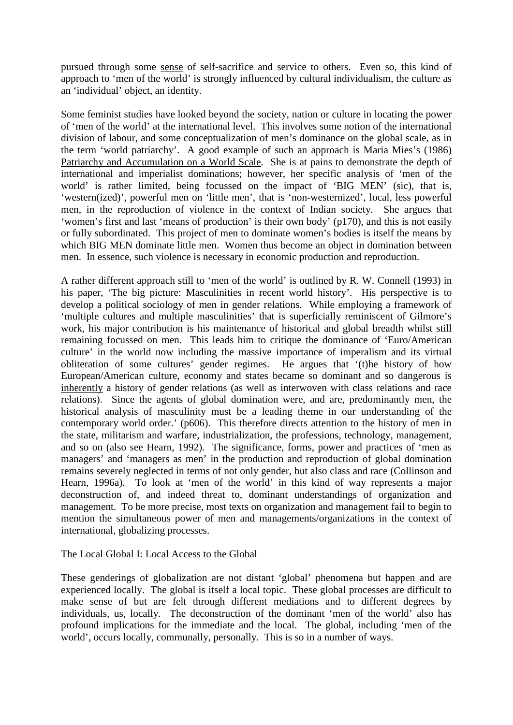pursued through some sense of self-sacrifice and service to others. Even so, this kind of approach to 'men of the world' is strongly influenced by cultural individualism, the culture as an 'individual' object, an identity.

Some feminist studies have looked beyond the society, nation or culture in locating the power of 'men of the world' at the international level. This involves some notion of the international division of labour, and some conceptualization of men's dominance on the global scale, as in the term 'world patriarchy'. A good example of such an approach is Maria Mies's (1986) Patriarchy and Accumulation on a World Scale. She is at pains to demonstrate the depth of international and imperialist dominations; however, her specific analysis of 'men of the world' is rather limited, being focussed on the impact of 'BIG MEN' (sic), that is, 'western(ized)', powerful men on 'little men', that is 'non-westernized', local, less powerful men, in the reproduction of violence in the context of Indian society. She argues that 'women's first and last 'means of production' is their own body' (p170), and this is not easily or fully subordinated. This project of men to dominate women's bodies is itself the means by which BIG MEN dominate little men. Women thus become an object in domination between men. In essence, such violence is necessary in economic production and reproduction.

A rather different approach still to 'men of the world' is outlined by R. W. Connell (1993) in his paper, 'The big picture: Masculinities in recent world history'. His perspective is to develop a political sociology of men in gender relations. While employing a framework of 'multiple cultures and multiple masculinities' that is superficially reminiscent of Gilmore's work, his major contribution is his maintenance of historical and global breadth whilst still remaining focussed on men. This leads him to critique the dominance of 'Euro/American culture' in the world now including the massive importance of imperalism and its virtual obliteration of some cultures' gender regimes. He argues that '(t)he history of how European/American culture, economy and states became so dominant and so dangerous is inherently a history of gender relations (as well as interwoven with class relations and race relations). Since the agents of global domination were, and are, predominantly men, the historical analysis of masculinity must be a leading theme in our understanding of the contemporary world order.' (p606). This therefore directs attention to the history of men in the state, militarism and warfare, industrialization, the professions, technology, management, and so on (also see Hearn, 1992). The significance, forms, power and practices of 'men as managers' and 'managers as men' in the production and reproduction of global domination remains severely neglected in terms of not only gender, but also class and race (Collinson and Hearn, 1996a). To look at 'men of the world' in this kind of way represents a major deconstruction of, and indeed threat to, dominant understandings of organization and management. To be more precise, most texts on organization and management fail to begin to mention the simultaneous power of men and managements/organizations in the context of international, globalizing processes.

# The Local Global I: Local Access to the Global

These genderings of globalization are not distant 'global' phenomena but happen and are experienced locally. The global is itself a local topic. These global processes are difficult to make sense of but are felt through different mediations and to different degrees by individuals, us, locally. The deconstruction of the dominant 'men of the world' also has profound implications for the immediate and the local. The global, including 'men of the world', occurs locally, communally, personally. This is so in a number of ways.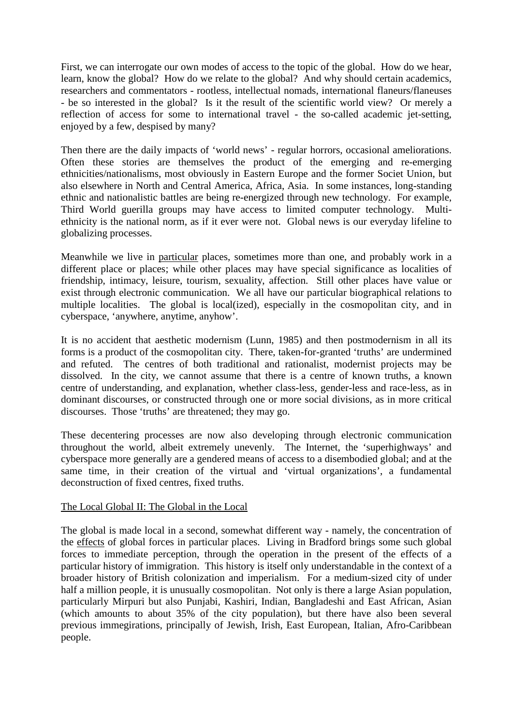First, we can interrogate our own modes of access to the topic of the global. How do we hear, learn, know the global? How do we relate to the global? And why should certain academics, researchers and commentators - rootless, intellectual nomads, international flaneurs/flaneuses - be so interested in the global? Is it the result of the scientific world view? Or merely a reflection of access for some to international travel - the so-called academic jet-setting, enjoyed by a few, despised by many?

Then there are the daily impacts of 'world news' - regular horrors, occasional ameliorations. Often these stories are themselves the product of the emerging and re-emerging ethnicities/nationalisms, most obviously in Eastern Europe and the former Societ Union, but also elsewhere in North and Central America, Africa, Asia. In some instances, long-standing ethnic and nationalistic battles are being re-energized through new technology. For example, Third World guerilla groups may have access to limited computer technology. Multiethnicity is the national norm, as if it ever were not. Global news is our everyday lifeline to globalizing processes.

Meanwhile we live in particular places, sometimes more than one, and probably work in a different place or places; while other places may have special significance as localities of friendship, intimacy, leisure, tourism, sexuality, affection. Still other places have value or exist through electronic communication. We all have our particular biographical relations to multiple localities. The global is local(ized), especially in the cosmopolitan city, and in cyberspace, 'anywhere, anytime, anyhow'.

It is no accident that aesthetic modernism (Lunn, 1985) and then postmodernism in all its forms is a product of the cosmopolitan city. There, taken-for-granted 'truths' are undermined and refuted. The centres of both traditional and rationalist, modernist projects may be dissolved. In the city, we cannot assume that there is a centre of known truths, a known centre of understanding, and explanation, whether class-less, gender-less and race-less, as in dominant discourses, or constructed through one or more social divisions, as in more critical discourses. Those 'truths' are threatened; they may go.

These decentering processes are now also developing through electronic communication throughout the world, albeit extremely unevenly. The Internet, the 'superhighways' and cyberspace more generally are a gendered means of access to a disembodied global; and at the same time, in their creation of the virtual and 'virtual organizations', a fundamental deconstruction of fixed centres, fixed truths.

#### The Local Global II: The Global in the Local

The global is made local in a second, somewhat different way - namely, the concentration of the effects of global forces in particular places. Living in Bradford brings some such global forces to immediate perception, through the operation in the present of the effects of a particular history of immigration. This history is itself only understandable in the context of a broader history of British colonization and imperialism. For a medium-sized city of under half a million people, it is unusually cosmopolitan. Not only is there a large Asian population, particularly Mirpuri but also Punjabi, Kashiri, Indian, Bangladeshi and East African, Asian (which amounts to about 35% of the city population), but there have also been several previous immegirations, principally of Jewish, Irish, East European, Italian, Afro-Caribbean people.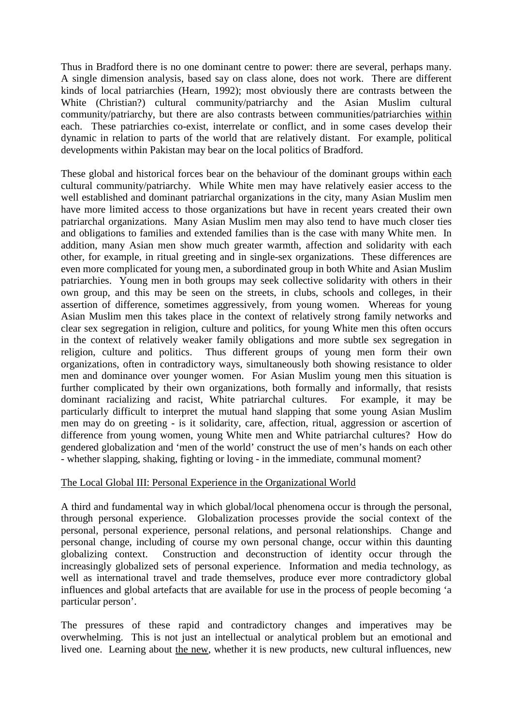Thus in Bradford there is no one dominant centre to power: there are several, perhaps many. A single dimension analysis, based say on class alone, does not work. There are different kinds of local patriarchies (Hearn, 1992); most obviously there are contrasts between the White (Christian?) cultural community/patriarchy and the Asian Muslim cultural community/patriarchy, but there are also contrasts between communities/patriarchies within each. These patriarchies co-exist, interrelate or conflict, and in some cases develop their dynamic in relation to parts of the world that are relatively distant. For example, political developments within Pakistan may bear on the local politics of Bradford.

These global and historical forces bear on the behaviour of the dominant groups within each cultural community/patriarchy. While White men may have relatively easier access to the well established and dominant patriarchal organizations in the city, many Asian Muslim men have more limited access to those organizations but have in recent years created their own patriarchal organizations. Many Asian Muslim men may also tend to have much closer ties and obligations to families and extended families than is the case with many White men. In addition, many Asian men show much greater warmth, affection and solidarity with each other, for example, in ritual greeting and in single-sex organizations. These differences are even more complicated for young men, a subordinated group in both White and Asian Muslim patriarchies. Young men in both groups may seek collective solidarity with others in their own group, and this may be seen on the streets, in clubs, schools and colleges, in their assertion of difference, sometimes aggressively, from young women. Whereas for young Asian Muslim men this takes place in the context of relatively strong family networks and clear sex segregation in religion, culture and politics, for young White men this often occurs in the context of relatively weaker family obligations and more subtle sex segregation in religion, culture and politics. Thus different groups of young men form their own organizations, often in contradictory ways, simultaneously both showing resistance to older men and dominance over younger women. For Asian Muslim young men this situation is further complicated by their own organizations, both formally and informally, that resists dominant racializing and racist, White patriarchal cultures. For example, it may be particularly difficult to interpret the mutual hand slapping that some young Asian Muslim men may do on greeting - is it solidarity, care, affection, ritual, aggression or ascertion of difference from young women, young White men and White patriarchal cultures? How do gendered globalization and 'men of the world' construct the use of men's hands on each other - whether slapping, shaking, fighting or loving - in the immediate, communal moment?

# The Local Global III: Personal Experience in the Organizational World

A third and fundamental way in which global/local phenomena occur is through the personal, through personal experience. Globalization processes provide the social context of the personal, personal experience, personal relations, and personal relationships. Change and personal change, including of course my own personal change, occur within this daunting globalizing context. Construction and deconstruction of identity occur through the increasingly globalized sets of personal experience. Information and media technology, as well as international travel and trade themselves, produce ever more contradictory global influences and global artefacts that are available for use in the process of people becoming 'a particular person'.

The pressures of these rapid and contradictory changes and imperatives may be overwhelming. This is not just an intellectual or analytical problem but an emotional and lived one. Learning about the new, whether it is new products, new cultural influences, new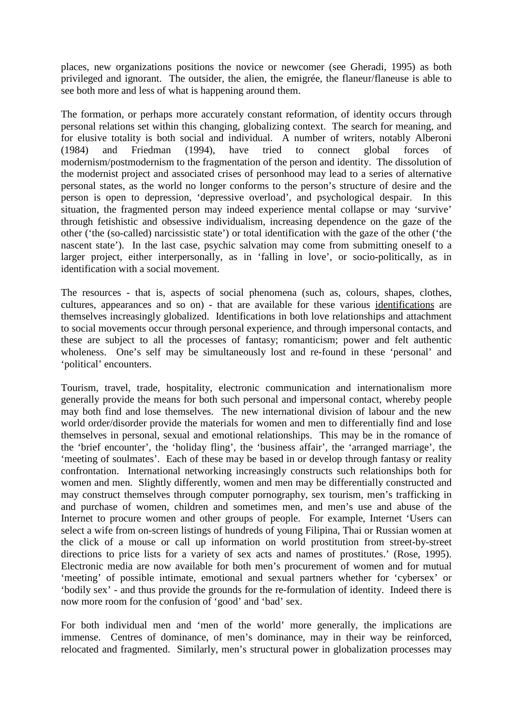places, new organizations positions the novice or newcomer (see Gheradi, 1995) as both privileged and ignorant. The outsider, the alien, the emigrée, the flaneur/flaneuse is able to see both more and less of what is happening around them.

The formation, or perhaps more accurately constant reformation, of identity occurs through personal relations set within this changing, globalizing context. The search for meaning, and for elusive totality is both social and individual. A number of writers, notably Alberoni (1984) and Friedman (1994), have tried to connect global forces of modernism/postmodernism to the fragmentation of the person and identity. The dissolution of the modernist project and associated crises of personhood may lead to a series of alternative personal states, as the world no longer conforms to the person's structure of desire and the person is open to depression, 'depressive overload', and psychological despair. In this situation, the fragmented person may indeed experience mental collapse or may 'survive' through fetishistic and obsessive individualism, increasing dependence on the gaze of the other ('the (so-called) narcissistic state') or total identification with the gaze of the other ('the nascent state'). In the last case, psychic salvation may come from submitting oneself to a larger project, either interpersonally, as in 'falling in love', or socio-politically, as in identification with a social movement.

The resources - that is, aspects of social phenomena (such as, colours, shapes, clothes, cultures, appearances and so on) - that are available for these various identifications are themselves increasingly globalized. Identifications in both love relationships and attachment to social movements occur through personal experience, and through impersonal contacts, and these are subject to all the processes of fantasy; romanticism; power and felt authentic wholeness. One's self may be simultaneously lost and re-found in these 'personal' and 'political' encounters.

Tourism, travel, trade, hospitality, electronic communication and internationalism more generally provide the means for both such personal and impersonal contact, whereby people may both find and lose themselves. The new international division of labour and the new world order/disorder provide the materials for women and men to differentially find and lose themselves in personal, sexual and emotional relationships. This may be in the romance of the 'brief encounter', the 'holiday fling', the 'business affair', the 'arranged marriage', the 'meeting of soulmates'. Each of these may be based in or develop through fantasy or reality confrontation. International networking increasingly constructs such relationships both for women and men. Slightly differently, women and men may be differentially constructed and may construct themselves through computer pornography, sex tourism, men's trafficking in and purchase of women, children and sometimes men, and men's use and abuse of the Internet to procure women and other groups of people. For example, Internet 'Users can select a wife from on-screen listings of hundreds of young Filipina, Thai or Russian women at the click of a mouse or call up information on world prostitution from street-by-street directions to price lists for a variety of sex acts and names of prostitutes.' (Rose, 1995). Electronic media are now available for both men's procurement of women and for mutual 'meeting' of possible intimate, emotional and sexual partners whether for 'cybersex' or 'bodily sex' - and thus provide the grounds for the re-formulation of identity. Indeed there is now more room for the confusion of 'good' and 'bad' sex.

For both individual men and 'men of the world' more generally, the implications are immense. Centres of dominance, of men's dominance, may in their way be reinforced, relocated and fragmented. Similarly, men's structural power in globalization processes may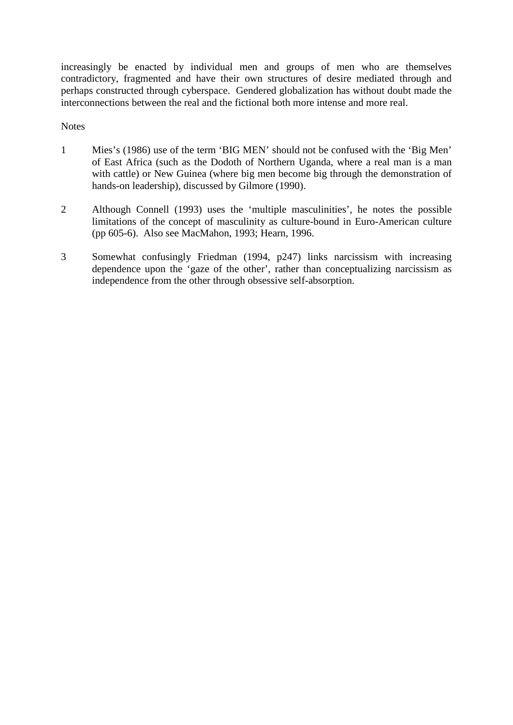increasingly be enacted by individual men and groups of men who are themselves contradictory, fragmented and have their own structures of desire mediated through and perhaps constructed through cyberspace. Gendered globalization has without doubt made the interconnections between the real and the fictional both more intense and more real.

### **Notes**

- 1 Mies's (1986) use of the term 'BIG MEN' should not be confused with the 'Big Men' of East Africa (such as the Dodoth of Northern Uganda, where a real man is a man with cattle) or New Guinea (where big men become big through the demonstration of hands-on leadership), discussed by Gilmore (1990).
- 2 Although Connell (1993) uses the 'multiple masculinities', he notes the possible limitations of the concept of masculinity as culture-bound in Euro-American culture (pp 605-6). Also see MacMahon, 1993; Hearn, 1996.
- 3 Somewhat confusingly Friedman (1994, p247) links narcissism with increasing dependence upon the 'gaze of the other', rather than conceptualizing narcissism as independence from the other through obsessive self-absorption.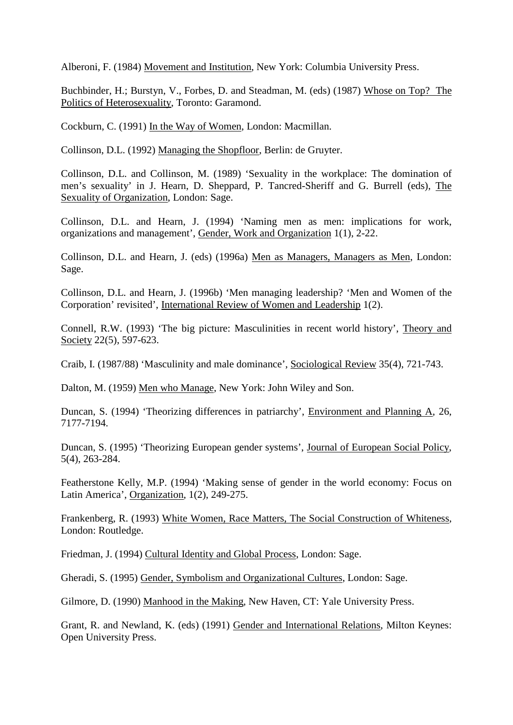Alberoni, F. (1984) Movement and Institution, New York: Columbia University Press.

Buchbinder, H.; Burstyn, V., Forbes, D. and Steadman, M. (eds) (1987) Whose on Top? The Politics of Heterosexuality, Toronto: Garamond.

Cockburn, C. (1991) In the Way of Women, London: Macmillan.

Collinson, D.L. (1992) Managing the Shopfloor, Berlin: de Gruyter.

Collinson, D.L. and Collinson, M. (1989) 'Sexuality in the workplace: The domination of men's sexuality' in J. Hearn, D. Sheppard, P. Tancred-Sheriff and G. Burrell (eds), The Sexuality of Organization, London: Sage.

Collinson, D.L. and Hearn, J. (1994) 'Naming men as men: implications for work, organizations and management', Gender, Work and Organization 1(1), 2-22.

Collinson, D.L. and Hearn, J. (eds) (1996a) Men as Managers, Managers as Men, London: Sage.

Collinson, D.L. and Hearn, J. (1996b) 'Men managing leadership? 'Men and Women of the Corporation' revisited', International Review of Women and Leadership 1(2).

Connell, R.W. (1993) 'The big picture: Masculinities in recent world history', Theory and Society 22(5), 597-623.

Craib, I. (1987/88) 'Masculinity and male dominance', Sociological Review 35(4), 721-743.

Dalton, M. (1959) Men who Manage, New York: John Wiley and Son.

Duncan, S. (1994) 'Theorizing differences in patriarchy', Environment and Planning A, 26, 7177-7194.

Duncan, S. (1995) 'Theorizing European gender systems', Journal of European Social Policy, 5(4), 263-284.

Featherstone Kelly, M.P. (1994) 'Making sense of gender in the world economy: Focus on Latin America', Organization, 1(2), 249-275.

Frankenberg, R. (1993) White Women, Race Matters, The Social Construction of Whiteness, London: Routledge.

Friedman, J. (1994) Cultural Identity and Global Process, London: Sage.

Gheradi, S. (1995) Gender, Symbolism and Organizational Cultures, London: Sage.

Gilmore, D. (1990) Manhood in the Making, New Haven, CT: Yale University Press.

Grant, R. and Newland, K. (eds) (1991) Gender and International Relations, Milton Keynes: Open University Press.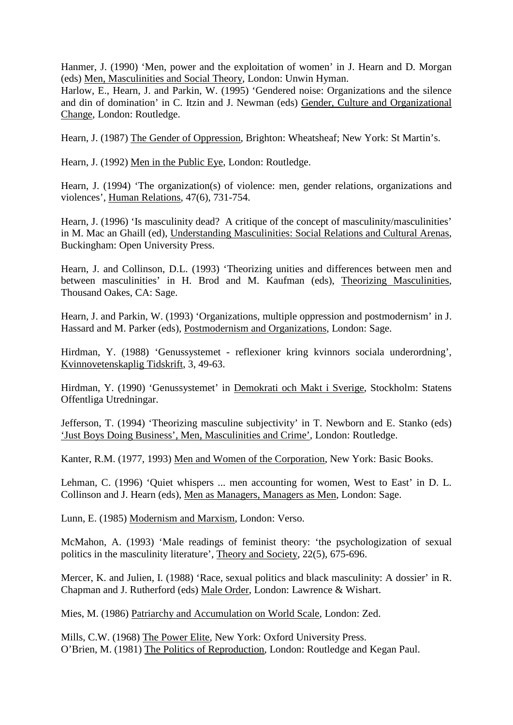Hanmer, J. (1990) 'Men, power and the exploitation of women' in J. Hearn and D. Morgan (eds) Men, Masculinities and Social Theory, London: Unwin Hyman.

Harlow, E., Hearn, J. and Parkin, W. (1995) 'Gendered noise: Organizations and the silence and din of domination' in C. Itzin and J. Newman (eds) Gender, Culture and Organizational Change, London: Routledge.

Hearn, J. (1987) The Gender of Oppression, Brighton: Wheatsheaf; New York: St Martin's.

Hearn, J. (1992) Men in the Public Eye, London: Routledge.

Hearn, J. (1994) 'The organization(s) of violence: men, gender relations, organizations and violences', Human Relations, 47(6), 731-754.

Hearn, J. (1996) 'Is masculinity dead? A critique of the concept of masculinity/masculinities' in M. Mac an Ghaill (ed), Understanding Masculinities: Social Relations and Cultural Arenas, Buckingham: Open University Press.

Hearn, J. and Collinson, D.L. (1993) 'Theorizing unities and differences between men and between masculinities' in H. Brod and M. Kaufman (eds), Theorizing Masculinities, Thousand Oakes, CA: Sage.

Hearn, J. and Parkin, W. (1993) 'Organizations, multiple oppression and postmodernism' in J. Hassard and M. Parker (eds), Postmodernism and Organizations, London: Sage.

Hirdman, Y. (1988) 'Genussystemet - reflexioner kring kvinnors sociala underordning', Kvinnovetenskaplig Tidskrift, 3, 49-63.

Hirdman, Y. (1990) 'Genussystemet' in Demokrati och Makt i Sverige, Stockholm: Statens Offentliga Utredningar.

Jefferson, T. (1994) 'Theorizing masculine subjectivity' in T. Newborn and E. Stanko (eds) 'Just Boys Doing Business', Men, Masculinities and Crime', London: Routledge.

Kanter, R.M. (1977, 1993) Men and Women of the Corporation, New York: Basic Books.

Lehman, C. (1996) 'Quiet whispers ... men accounting for women, West to East' in D. L. Collinson and J. Hearn (eds), Men as Managers, Managers as Men, London: Sage.

Lunn, E. (1985) Modernism and Marxism, London: Verso.

McMahon, A. (1993) 'Male readings of feminist theory: 'the psychologization of sexual politics in the masculinity literature', Theory and Society, 22(5), 675-696.

Mercer, K. and Julien, I. (1988) 'Race, sexual politics and black masculinity: A dossier' in R. Chapman and J. Rutherford (eds) Male Order, London: Lawrence & Wishart.

Mies, M. (1986) Patriarchy and Accumulation on World Scale, London: Zed.

Mills, C.W. (1968) The Power Elite, New York: Oxford University Press. O'Brien, M. (1981) The Politics of Reproduction, London: Routledge and Kegan Paul.